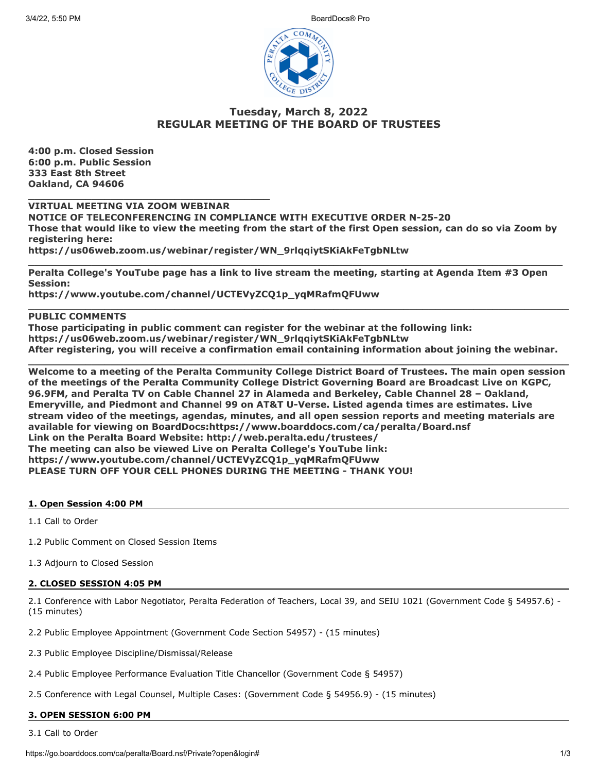3/4/22, 5:50 PM BoardDocs® Pro



# **Tuesday, March 8, 2022 REGULAR MEETING OF THE BOARD OF TRUSTEES**

**4:00 p.m. Closed Session 6:00 p.m. Public Session 333 East 8th Street Oakland, CA 94606**

**\_\_\_\_\_\_\_\_\_\_\_\_\_\_\_\_\_\_\_\_\_\_\_\_\_\_\_\_\_\_\_\_\_\_\_\_\_\_ VIRTUAL MEETING VIA ZOOM WEBINAR**

**NOTICE OF TELECONFERENCING IN COMPLIANCE WITH EXECUTIVE ORDER N-25-20 Those that would like to view the meeting from the start of the first Open session, can do so via Zoom by registering here: https://us06web.zoom.us/webinar/register/WN\_9rlqqiytSKiAkFeTgbNLtw**

**\_\_\_\_\_\_\_\_\_\_\_\_\_\_\_\_\_\_\_\_\_\_\_\_\_\_\_\_\_\_\_\_\_\_\_\_\_\_\_\_\_\_\_\_\_\_\_\_\_\_\_\_\_\_\_\_\_\_\_\_\_\_\_\_\_\_\_\_\_\_\_\_\_\_\_\_\_\_\_\_\_\_\_\_**

**\_\_\_\_\_\_\_\_\_\_\_\_\_\_\_\_\_\_\_\_\_\_\_\_\_\_\_\_\_\_\_\_\_\_\_\_\_\_\_\_\_\_\_\_\_\_\_\_\_\_\_\_\_\_\_\_\_\_\_\_\_\_\_\_\_\_\_\_\_\_\_\_\_\_\_\_\_\_\_\_\_\_\_\_\_**

**Peralta College's YouTube page has a link to live stream the meeting, starting at Agenda Item #3 Open Session:**

**https://www.youtube.com/channel/UCTEVyZCQ1p\_yqMRafmQFUww**

# **PUBLIC COMMENTS**

**Those participating in public comment can register for the webinar at the following link: https://us06web.zoom.us/webinar/register/WN\_9rlqqiytSKiAkFeTgbNLtw After registering, you will receive a confirmation email containing information about joining the webinar.**

**\_\_\_\_\_\_\_\_\_\_\_\_\_\_\_\_\_\_\_\_\_\_\_\_\_\_\_\_\_\_\_\_\_\_\_\_\_\_\_\_\_\_\_\_\_\_\_\_\_\_\_\_\_\_\_\_\_\_\_\_\_\_\_\_\_\_\_\_\_\_\_\_\_\_\_\_\_\_\_\_\_\_\_\_\_ Welcome to a meeting of the Peralta Community College District Board of Trustees. The main open session of the meetings of the Peralta Community College District Governing Board are Broadcast Live on KGPC, 96.9FM, and Peralta TV on Cable Channel 27 in Alameda and Berkeley, Cable Channel 28 – Oakland, Emeryville, and Piedmont and Channel 99 on AT&T U-Verse. Listed agenda times are estimates. Live stream video of the meetings, agendas, minutes, and all open session reports and meeting materials are available for viewing on BoardDocs:https://www.boarddocs.com/ca/peralta/Board.nsf Link on the Peralta Board Website: http://web.peralta.edu/trustees/ The meeting can also be viewed Live on Peralta College's YouTube link: https://www.youtube.com/channel/UCTEVyZCQ1p\_yqMRafmQFUww PLEASE TURN OFF YOUR CELL PHONES DURING THE MEETING - THANK YOU!**

### **1. Open Session 4:00 PM**

1.1 Call to Order

1.2 Public Comment on Closed Session Items

1.3 Adjourn to Closed Session

### **2. CLOSED SESSION 4:05 PM**

2.1 Conference with Labor Negotiator, Peralta Federation of Teachers, Local 39, and SEIU 1021 (Government Code § 54957.6) - (15 minutes)

2.2 Public Employee Appointment (Government Code Section 54957) - (15 minutes)

2.3 Public Employee Discipline/Dismissal/Release

2.4 Public Employee Performance Evaluation Title Chancellor (Government Code § 54957)

2.5 Conference with Legal Counsel, Multiple Cases: (Government Code § 54956.9) - (15 minutes)

### **3. OPEN SESSION 6:00 PM**

3.1 Call to Order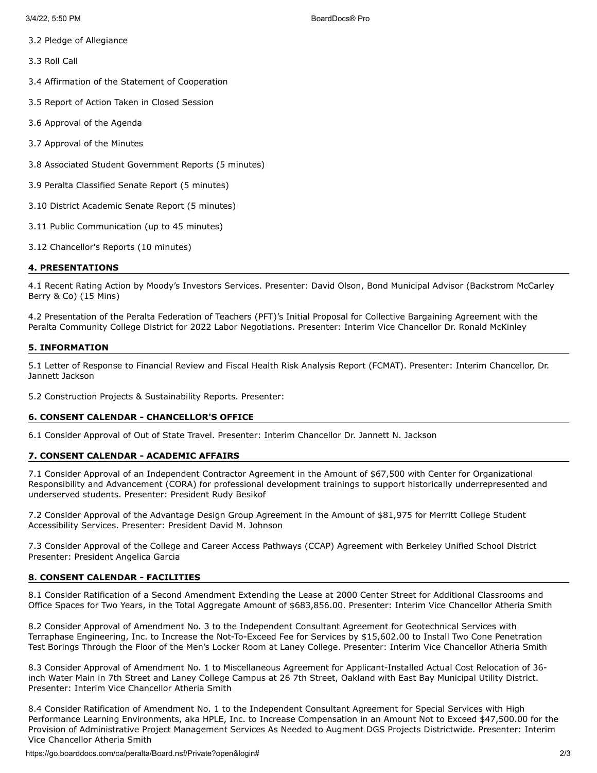- 3.2 Pledge of Allegiance
- 3.3 Roll Call
- 3.4 Affirmation of the Statement of Cooperation
- 3.5 Report of Action Taken in Closed Session
- 3.6 Approval of the Agenda
- 3.7 Approval of the Minutes
- 3.8 Associated Student Government Reports (5 minutes)
- 3.9 Peralta Classified Senate Report (5 minutes)
- 3.10 District Academic Senate Report (5 minutes)
- 3.11 Public Communication (up to 45 minutes)
- 3.12 Chancellor's Reports (10 minutes)

# **4. PRESENTATIONS**

4.1 Recent Rating Action by Moody's Investors Services. Presenter: David Olson, Bond Municipal Advisor (Backstrom McCarley Berry & Co) (15 Mins)

4.2 Presentation of the Peralta Federation of Teachers (PFT)'s Initial Proposal for Collective Bargaining Agreement with the Peralta Community College District for 2022 Labor Negotiations. Presenter: Interim Vice Chancellor Dr. Ronald McKinley

### **5. INFORMATION**

5.1 Letter of Response to Financial Review and Fiscal Health Risk Analysis Report (FCMAT). Presenter: Interim Chancellor, Dr. Jannett Jackson

5.2 Construction Projects & Sustainability Reports. Presenter:

### **6. CONSENT CALENDAR - CHANCELLOR'S OFFICE**

6.1 Consider Approval of Out of State Travel. Presenter: Interim Chancellor Dr. Jannett N. Jackson

### **7. CONSENT CALENDAR - ACADEMIC AFFAIRS**

7.1 Consider Approval of an Independent Contractor Agreement in the Amount of \$67,500 with Center for Organizational Responsibility and Advancement (CORA) for professional development trainings to support historically underrepresented and underserved students. Presenter: President Rudy Besikof

7.2 Consider Approval of the Advantage Design Group Agreement in the Amount of \$81,975 for Merritt College Student Accessibility Services. Presenter: President David M. Johnson

7.3 Consider Approval of the College and Career Access Pathways (CCAP) Agreement with Berkeley Unified School District Presenter: President Angelica Garcia

# **8. CONSENT CALENDAR - FACILITIES**

8.1 Consider Ratification of a Second Amendment Extending the Lease at 2000 Center Street for Additional Classrooms and Office Spaces for Two Years, in the Total Aggregate Amount of \$683,856.00. Presenter: Interim Vice Chancellor Atheria Smith

8.2 Consider Approval of Amendment No. 3 to the Independent Consultant Agreement for Geotechnical Services with Terraphase Engineering, Inc. to Increase the Not-To-Exceed Fee for Services by \$15,602.00 to Install Two Cone Penetration Test Borings Through the Floor of the Men's Locker Room at Laney College. Presenter: Interim Vice Chancellor Atheria Smith

8.3 Consider Approval of Amendment No. 1 to Miscellaneous Agreement for Applicant-Installed Actual Cost Relocation of 36 inch Water Main in 7th Street and Laney College Campus at 26 7th Street, Oakland with East Bay Municipal Utility District. Presenter: Interim Vice Chancellor Atheria Smith

8.4 Consider Ratification of Amendment No. 1 to the Independent Consultant Agreement for Special Services with High Performance Learning Environments, aka HPLE, Inc. to Increase Compensation in an Amount Not to Exceed \$47,500.00 for the Provision of Administrative Project Management Services As Needed to Augment DGS Projects Districtwide. Presenter: Interim Vice Chancellor Atheria Smith